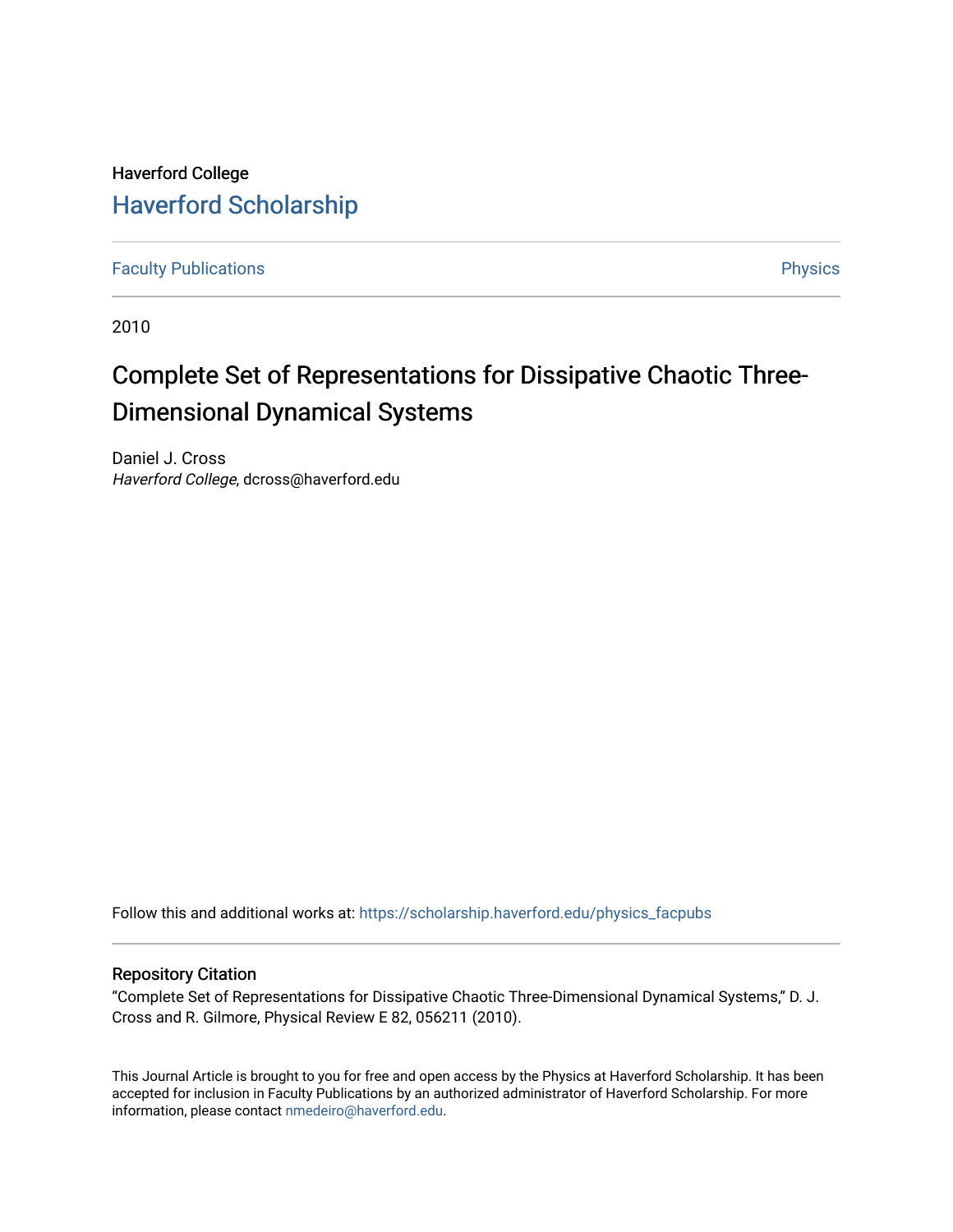Haverford College [Haverford Scholarship](https://scholarship.haverford.edu/)

[Faculty Publications](https://scholarship.haverford.edu/physics_facpubs) **Physics** 

2010

# Complete Set of Representations for Dissipative Chaotic Three-Dimensional Dynamical Systems

Daniel J. Cross Haverford College, dcross@haverford.edu

Follow this and additional works at: [https://scholarship.haverford.edu/physics\\_facpubs](https://scholarship.haverford.edu/physics_facpubs?utm_source=scholarship.haverford.edu%2Fphysics_facpubs%2F332&utm_medium=PDF&utm_campaign=PDFCoverPages) 

## Repository Citation

"Complete Set of Representations for Dissipative Chaotic Three-Dimensional Dynamical Systems," D. J. Cross and R. Gilmore, Physical Review E 82, 056211 (2010).

This Journal Article is brought to you for free and open access by the Physics at Haverford Scholarship. It has been accepted for inclusion in Faculty Publications by an authorized administrator of Haverford Scholarship. For more information, please contact [nmedeiro@haverford.edu.](mailto:nmedeiro@haverford.edu)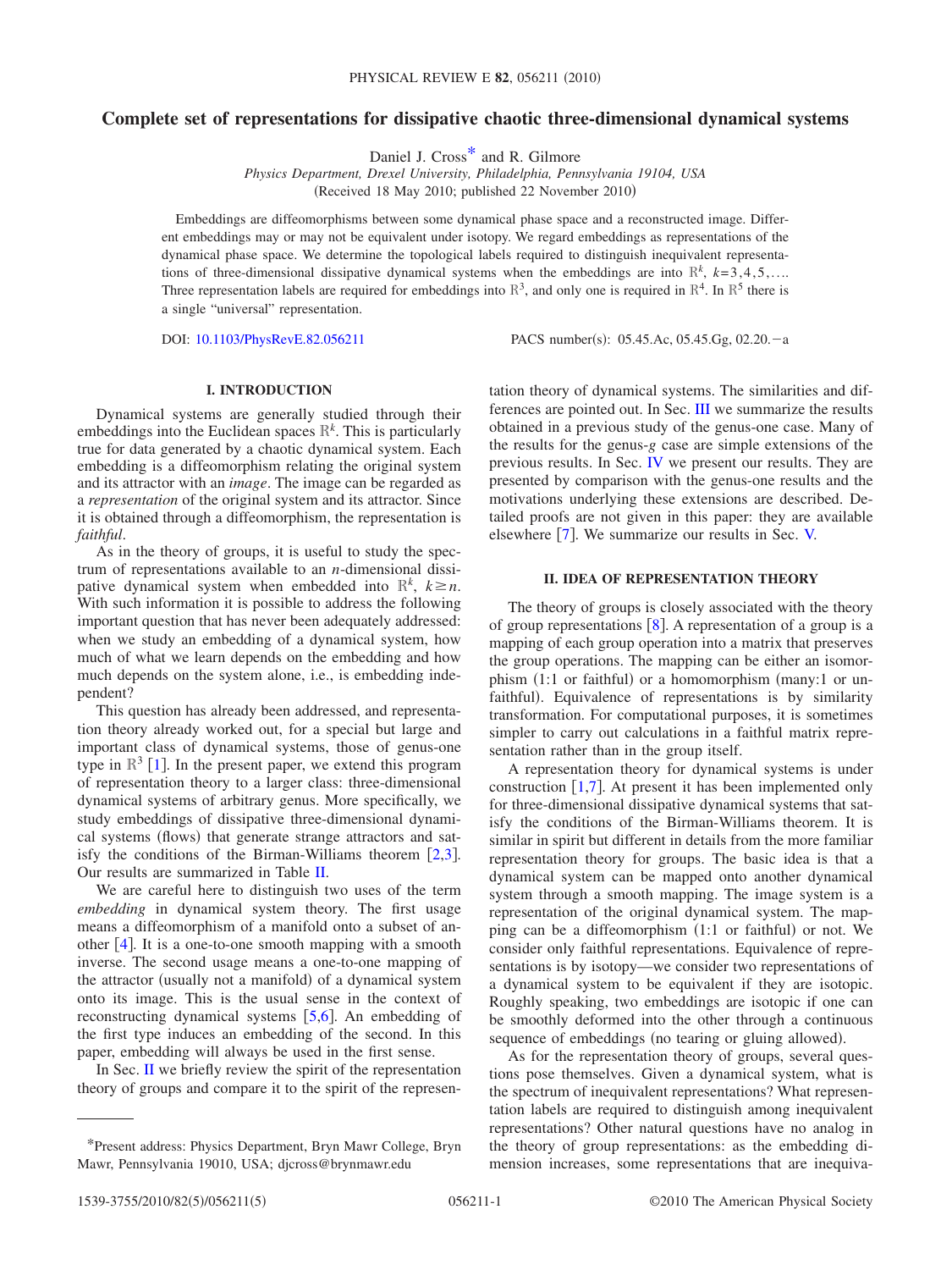# **Complete set of representations for dissipative chaotic three-dimensional dynamical systems**

Daniel J. Cross<sup>\*</sup> and R. Gilmore

*Physics Department, Drexel University, Philadelphia, Pennsylvania 19104, USA*

(Received 18 May 2010; published 22 November 2010)

Embeddings are diffeomorphisms between some dynamical phase space and a reconstructed image. Different embeddings may or may not be equivalent under isotopy. We regard embeddings as representations of the dynamical phase space. We determine the topological labels required to distinguish inequivalent representations of three-dimensional dissipative dynamical systems when the embeddings are into  $\mathbb{R}^k$ ,  $k=3,4,5,...$ Three representation labels are required for embeddings into  $\mathbb{R}^3$ , and only one is required in  $\mathbb{R}^4$ . In  $\mathbb{R}^5$  there is a single "universal" representation.

DOI: [10.1103/PhysRevE.82.056211](http://dx.doi.org/10.1103/PhysRevE.82.056211)

PACS number(s):  $05.45$ .Ac,  $05.45$ .Gg,  $02.20$ . - a

#### **I. INTRODUCTION**

Dynamical systems are generally studied through their embeddings into the Euclidean spaces  $\mathbb{R}^k$ . This is particularly true for data generated by a chaotic dynamical system. Each embedding is a diffeomorphism relating the original system and its attractor with an *image*. The image can be regarded as a *representation* of the original system and its attractor. Since it is obtained through a diffeomorphism, the representation is *faithful*.

As in the theory of groups, it is useful to study the spectrum of representations available to an *n*-dimensional dissipative dynamical system when embedded into  $\mathbb{R}^k$ ,  $k \ge n$ . With such information it is possible to address the following important question that has never been adequately addressed: when we study an embedding of a dynamical system, how much of what we learn depends on the embedding and how much depends on the system alone, i.e., is embedding independent?

This question has already been addressed, and representation theory already worked out, for a special but large and important class of dynamical systems, those of genus-one type in  $\mathbb{R}^3$  [[1](#page-5-0)]. In the present paper, we extend this program of representation theory to a larger class: three-dimensional dynamical systems of arbitrary genus. More specifically, we study embeddings of dissipative three-dimensional dynamical systems (flows) that generate strange attractors and satisfy the conditions of the Birman-Williams theorem  $[2,3]$  $[2,3]$  $[2,3]$  $[2,3]$ . Our results are summarized in Table [II.](#page-4-0)

We are careful here to distinguish two uses of the term *embedding* in dynamical system theory. The first usage means a diffeomorphism of a manifold onto a subset of another  $[4]$  $[4]$  $[4]$ . It is a one-to-one smooth mapping with a smooth inverse. The second usage means a one-to-one mapping of the attractor (usually not a manifold) of a dynamical system onto its image. This is the usual sense in the context of reconstructing dynamical systems  $[5,6]$  $[5,6]$  $[5,6]$  $[5,6]$ . An embedding of the first type induces an embedding of the second. In this paper, embedding will always be used in the first sense.

In Sec. [II](#page-1-1) we briefly review the spirit of the representation theory of groups and compare it to the spirit of the representation theory of dynamical systems. The similarities and differences are pointed out. In Sec. [III](#page-2-0) we summarize the results obtained in a previous study of the genus-one case. Many of the results for the genus-*g* case are simple extensions of the previous results. In Sec. [IV](#page-2-1) we present our results. They are presented by comparison with the genus-one results and the motivations underlying these extensions are described. Detailed proofs are not given in this paper: they are available elsewhere  $\lceil 7 \rceil$  $\lceil 7 \rceil$  $\lceil 7 \rceil$ . We summarize our results in Sec. [V.](#page-4-1)

## **II. IDEA OF REPRESENTATION THEORY**

<span id="page-1-1"></span>The theory of groups is closely associated with the theory of group representations  $\lceil 8 \rceil$  $\lceil 8 \rceil$  $\lceil 8 \rceil$ . A representation of a group is a mapping of each group operation into a matrix that preserves the group operations. The mapping can be either an isomorphism (1:1 or faithful) or a homomorphism (many:1 or unfaithful). Equivalence of representations is by similarity transformation. For computational purposes, it is sometimes simpler to carry out calculations in a faithful matrix representation rather than in the group itself.

A representation theory for dynamical systems is under construction  $\lceil 1,7 \rceil$  $\lceil 1,7 \rceil$  $\lceil 1,7 \rceil$  $\lceil 1,7 \rceil$ . At present it has been implemented only for three-dimensional dissipative dynamical systems that satisfy the conditions of the Birman-Williams theorem. It is similar in spirit but different in details from the more familiar representation theory for groups. The basic idea is that a dynamical system can be mapped onto another dynamical system through a smooth mapping. The image system is a representation of the original dynamical system. The mapping can be a diffeomorphism (1:1 or faithful) or not. We consider only faithful representations. Equivalence of representations is by isotopy—we consider two representations of a dynamical system to be equivalent if they are isotopic. Roughly speaking, two embeddings are isotopic if one can be smoothly deformed into the other through a continuous sequence of embeddings (no tearing or gluing allowed).

As for the representation theory of groups, several questions pose themselves. Given a dynamical system, what is the spectrum of inequivalent representations? What representation labels are required to distinguish among inequivalent representations? Other natural questions have no analog in the theory of group representations: as the embedding dimension increases, some representations that are inequiva-

<span id="page-1-0"></span><sup>\*</sup>Present address: Physics Department, Bryn Mawr College, Bryn Mawr, Pennsylvania 19010, USA; djcross@brynmawr.edu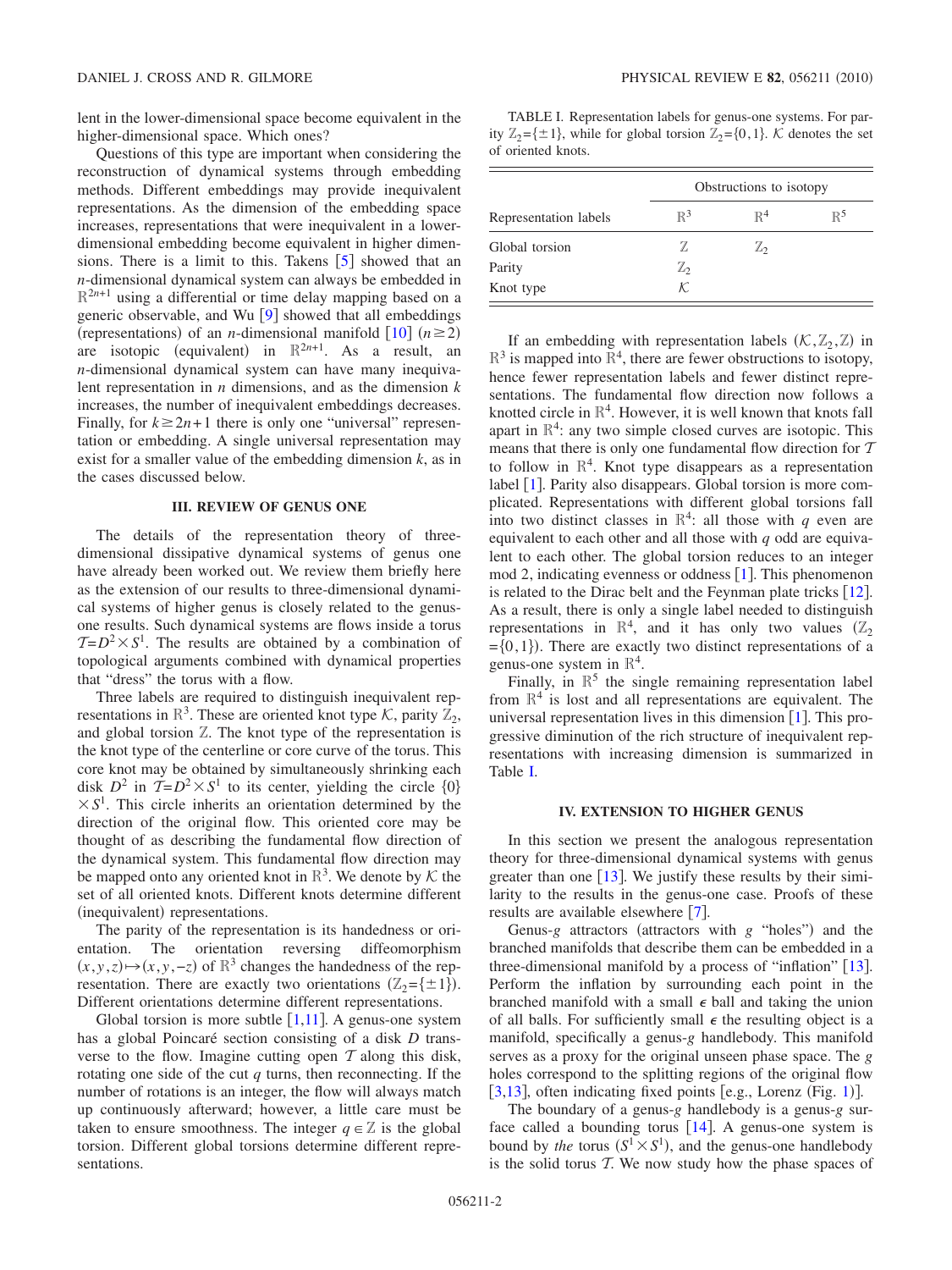lent in the lower-dimensional space become equivalent in the higher-dimensional space. Which ones?

Questions of this type are important when considering the reconstruction of dynamical systems through embedding methods. Different embeddings may provide inequivalent representations. As the dimension of the embedding space increases, representations that were inequivalent in a lowerdimensional embedding become equivalent in higher dimensions. There is a limit to this. Takens  $\lceil 5 \rceil$  $\lceil 5 \rceil$  $\lceil 5 \rceil$  showed that an *n*-dimensional dynamical system can always be embedded in  $\mathbb{R}^{2n+1}$  using a differential or time delay mapping based on a generic observable, and Wu  $\lceil 9 \rceil$  $\lceil 9 \rceil$  $\lceil 9 \rceil$  showed that all embeddings (representations) of an *n*-dimensional manifold  $\begin{bmatrix} 10 \end{bmatrix}$  $\begin{bmatrix} 10 \end{bmatrix}$  $\begin{bmatrix} 10 \end{bmatrix}$   $(n \ge 2)$ are isotopic (equivalent) in  $\mathbb{R}^{2n+1}$ . As a result, an *n*-dimensional dynamical system can have many inequivalent representation in *n* dimensions, and as the dimension *k* increases, the number of inequivalent embeddings decreases. Finally, for  $k \geq 2n+1$  there is only one "universal" representation or embedding. A single universal representation may exist for a smaller value of the embedding dimension *k*, as in the cases discussed below.

#### **III. REVIEW OF GENUS ONE**

<span id="page-2-0"></span>The details of the representation theory of threedimensional dissipative dynamical systems of genus one have already been worked out. We review them briefly here as the extension of our results to three-dimensional dynamical systems of higher genus is closely related to the genusone results. Such dynamical systems are flows inside a torus  $T = D^2 \times S^1$ . The results are obtained by a combination of topological arguments combined with dynamical properties that "dress" the torus with a flow.

Three labels are required to distinguish inequivalent representations in  $\mathbb{R}^3$ . These are oriented knot type  $\mathcal{K}$ , parity  $\mathbb{Z}_2$ , and global torsion Z. The knot type of the representation is the knot type of the centerline or core curve of the torus. This core knot may be obtained by simultaneously shrinking each disk  $D^2$  in  $T=D^2\times S^1$  to its center, yielding the circle  $\{0\}$  $\times S<sup>1</sup>$ . This circle inherits an orientation determined by the direction of the original flow. This oriented core may be thought of as describing the fundamental flow direction of the dynamical system. This fundamental flow direction may be mapped onto any oriented knot in  $\mathbb{R}^3$ . We denote by  $\mathcal K$  the set of all oriented knots. Different knots determine different (inequivalent) representations.

The parity of the representation is its handedness or orientation. The orientation reversing diffeomorphism  $(x, y, z)$  →  $(x, y, -z)$  of R<sup>3</sup> changes the handedness of the representation. There are exactly two orientations  $(\mathbb{Z}_2 = \{\pm 1\})$ . Different orientations determine different representations.

Global torsion is more subtle  $[1,11]$  $[1,11]$  $[1,11]$  $[1,11]$ . A genus-one system has a global Poincaré section consisting of a disk *D* transverse to the flow. Imagine cutting open  $T$  along this disk, rotating one side of the cut  $q$  turns, then reconnecting. If the number of rotations is an integer, the flow will always match up continuously afterward; however, a little care must be taken to ensure smoothness. The integer  $q \in \mathbb{Z}$  is the global torsion. Different global torsions determine different representations.

<span id="page-2-2"></span>TABLE I. Representation labels for genus-one systems. For parity  $\mathbb{Z}_2 = \{\pm 1\}$ , while for global torsion  $\mathbb{Z}_2 = \{0,1\}$ . K denotes the set of oriented knots.

| Representation labels | Obstructions to isotopy |                |                |
|-----------------------|-------------------------|----------------|----------------|
|                       | $\mathbb{R}^3$          | $\mathbb{R}^4$ | $\mathbb{R}^5$ |
| Global torsion        | 7.                      | $\mathbb{Z}_2$ |                |
| Parity                | Z,                      |                |                |
| Knot type             | К.                      |                |                |

If an embedding with representation labels  $(K, \mathbb{Z}_2, \mathbb{Z})$  in  $\mathbb{R}^3$  is mapped into  $\mathbb{R}^4$ , there are fewer obstructions to isotopy, hence fewer representation labels and fewer distinct representations. The fundamental flow direction now follows a knotted circle in  $\mathbb{R}^4$ . However, it is well known that knots fall apart in  $\mathbb{R}^4$ : any two simple closed curves are isotopic. This means that there is only one fundamental flow direction for T to follow in  $\mathbb{R}^4$ . Knot type disappears as a representation label  $[1]$  $[1]$  $[1]$ . Parity also disappears. Global torsion is more complicated. Representations with different global torsions fall into two distinct classes in  $\mathbb{R}^4$ : all those with *q* even are equivalent to each other and all those with *q* odd are equivalent to each other. The global torsion reduces to an integer mod 2, indicating evenness or oddness  $[1]$  $[1]$  $[1]$ . This phenomenon is related to the Dirac belt and the Feynman plate tricks  $[12]$  $[12]$  $[12]$ . As a result, there is only a single label needed to distinguish representations in  $\mathbb{R}^4$ , and it has only two values  $(\mathbb{Z}_2)$  $=\{0,1\}$ ). There are exactly two distinct representations of a genus-one system in  $\mathbb{R}^4$ .

Finally, in  $\mathbb{R}^5$  the single remaining representation label from  $\mathbb{R}^4$  is lost and all representations are equivalent. The universal representation lives in this dimension  $[1]$  $[1]$  $[1]$ . This progressive diminution of the rich structure of inequivalent representations with increasing dimension is summarized in Table [I.](#page-2-2)

#### **IV. EXTENSION TO HIGHER GENUS**

<span id="page-2-1"></span>In this section we present the analogous representation theory for three-dimensional dynamical systems with genus greater than one  $[13]$  $[13]$  $[13]$ . We justify these results by their similarity to the results in the genus-one case. Proofs of these results are available elsewhere [[7](#page-5-6)].

Genus- $g$  attractors (attractors with  $g$  "holes") and the branched manifolds that describe them can be embedded in a three-dimensional manifold by a process of "inflation"  $[13]$  $[13]$  $[13]$ . Perform the inflation by surrounding each point in the branched manifold with a small  $\epsilon$  ball and taking the union of all balls. For sufficiently small  $\epsilon$  the resulting object is a manifold, specifically a genus-*g* handlebody. This manifold serves as a proxy for the original unseen phase space. The *g* holes correspond to the splitting regions of the original flow [ $3,13$  $3,13$ ], often indicating fixed points [e.g., Lorenz (Fig. [1](#page-3-0))].

The boundary of a genus-*g* handlebody is a genus-*g* surface called a bounding torus  $[14]$  $[14]$  $[14]$ . A genus-one system is bound by *the* torus  $(S^1 \times S^1)$ , and the genus-one handlebody is the solid torus  $T$ . We now study how the phase spaces of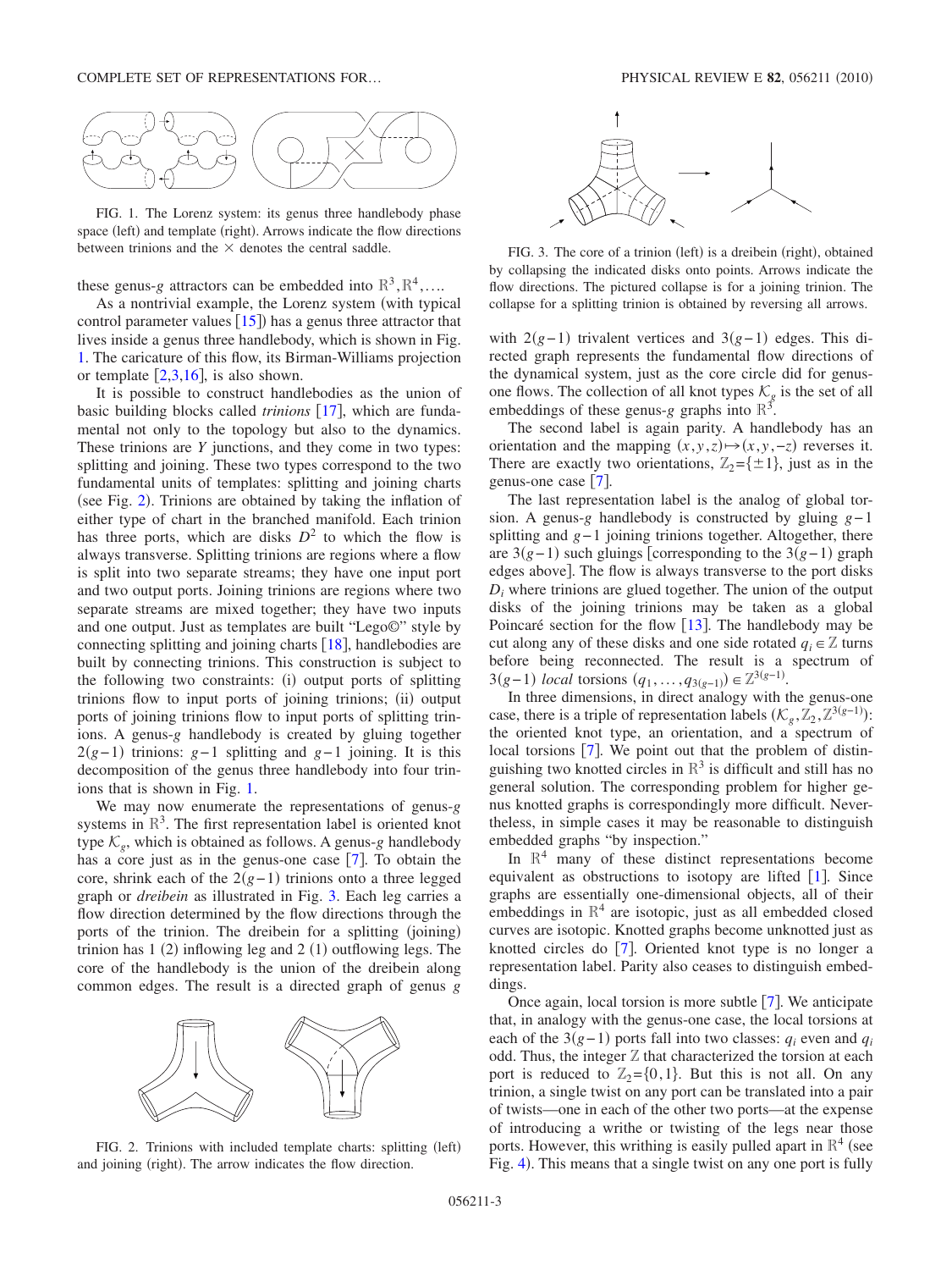<span id="page-3-0"></span>

FIG. 1. The Lorenz system: its genus three handlebody phase space (left) and template (right). Arrows indicate the flow directions between trinions and the  $\times$  denotes the central saddle.

these genus-*g* attractors can be embedded into  $\mathbb{R}^3$ ,  $\mathbb{R}^4$ ,....

As a nontrivial example, the Lorenz system (with typical control parameter values  $[15]$  $[15]$  $[15]$ ) has a genus three attractor that lives inside a genus three handlebody, which is shown in Fig. [1.](#page-3-0) The caricature of this flow, its Birman-Williams projection or template  $[2,3,16]$  $[2,3,16]$  $[2,3,16]$  $[2,3,16]$  $[2,3,16]$ , is also shown.

It is possible to construct handlebodies as the union of basic building blocks called *trinions* [[17](#page-5-16)], which are fundamental not only to the topology but also to the dynamics. These trinions are *Y* junctions, and they come in two types: splitting and joining. These two types correspond to the two fundamental units of templates: splitting and joining charts (see Fig. [2](#page-3-1)). Trinions are obtained by taking the inflation of either type of chart in the branched manifold. Each trinion has three ports, which are disks  $D^2$  to which the flow is always transverse. Splitting trinions are regions where a flow is split into two separate streams; they have one input port and two output ports. Joining trinions are regions where two separate streams are mixed together; they have two inputs and one output. Just as templates are built "Lego©" style by connecting splitting and joining charts  $[18]$  $[18]$  $[18]$ , handlebodies are built by connecting trinions. This construction is subject to the following two constraints: (i) output ports of splitting trinions flow to input ports of joining trinions; (ii) output ports of joining trinions flow to input ports of splitting trinions. A genus-*g* handlebody is created by gluing together 2 $(g-1)$  trinions:  $g-1$  splitting and  $g-1$  joining. It is this decomposition of the genus three handlebody into four trinions that is shown in Fig. [1.](#page-3-0)

We may now enumerate the representations of genus-*g* systems in  $\mathbb{R}^3$ . The first representation label is oriented knot type  $K_g$ , which is obtained as follows. A genus-*g* handlebody has a core just as in the genus-one case  $[7]$  $[7]$  $[7]$ . To obtain the core, shrink each of the  $2(g-1)$  trinions onto a three legged graph or *dreibein* as illustrated in Fig. [3.](#page-3-2) Each leg carries a flow direction determined by the flow directions through the ports of the trinion. The dreibein for a splitting (joining) trinion has  $1(2)$  inflowing leg and  $2(1)$  outflowing legs. The core of the handlebody is the union of the dreibein along common edges. The result is a directed graph of genus *g*

<span id="page-3-1"></span>

FIG. 2. Trinions with included template charts: splitting (left) and joining (right). The arrow indicates the flow direction.

<span id="page-3-2"></span>

FIG. 3. The core of a trinion (left) is a dreibein (right), obtained by collapsing the indicated disks onto points. Arrows indicate the flow directions. The pictured collapse is for a joining trinion. The collapse for a splitting trinion is obtained by reversing all arrows.

with  $2(g-1)$  trivalent vertices and  $3(g-1)$  edges. This directed graph represents the fundamental flow directions of the dynamical system, just as the core circle did for genusone flows. The collection of all knot types  $\mathcal{K}_{\varrho}$  is the set of all embeddings of these genus-*g* graphs into  $\mathbb{R}^3$ .

The second label is again parity. A handlebody has an orientation and the mapping  $(x, y, z) \mapsto (x, y, -z)$  reverses it. There are exactly two orientations,  $\mathbb{Z}_2 = \{ \pm 1 \}$ , just as in the genus-one case  $[7]$  $[7]$  $[7]$ .

The last representation label is the analog of global torsion. A genus-*g* handlebody is constructed by gluing *g*−1 splitting and *g*−1 joining trinions together. Altogether, there are 3*(g*−1) such gluings [corresponding to the 3*(g*−1) graph edges above. The flow is always transverse to the port disks *Di* where trinions are glued together. The union of the output disks of the joining trinions may be taken as a global Poincaré section for the flow  $\lceil 13 \rceil$  $\lceil 13 \rceil$  $\lceil 13 \rceil$ . The handlebody may be cut along any of these disks and one side rotated  $q_i \in \mathbb{Z}$  turns before being reconnected. The result is a spectrum of 3*(g*−1) *local* torsions  $(q_1, ..., q_{3(g-1)}) \in \mathbb{Z}^{3(g-1)}$ .

In three dimensions, in direct analogy with the genus-one case, there is a triple of representation labels  $(\mathcal{K}_g, \mathbb{Z}_2, \mathbb{Z}^{3(g-1)})$ : the oriented knot type, an orientation, and a spectrum of local torsions  $\lceil 7 \rceil$  $\lceil 7 \rceil$  $\lceil 7 \rceil$ . We point out that the problem of distinguishing two knotted circles in  $\mathbb{R}^3$  is difficult and still has no general solution. The corresponding problem for higher genus knotted graphs is correspondingly more difficult. Nevertheless, in simple cases it may be reasonable to distinguish embedded graphs "by inspection."

In  $\mathbb{R}^4$  many of these distinct representations become equivalent as obstructions to isotopy are lifted  $[1]$  $[1]$  $[1]$ . Since graphs are essentially one-dimensional objects, all of their embeddings in  $\mathbb{R}^4$  are isotopic, just as all embedded closed curves are isotopic. Knotted graphs become unknotted just as knotted circles do  $[7]$  $[7]$  $[7]$ . Oriented knot type is no longer a representation label. Parity also ceases to distinguish embeddings.

Once again, local torsion is more subtle  $\lceil 7 \rceil$  $\lceil 7 \rceil$  $\lceil 7 \rceil$ . We anticipate that, in analogy with the genus-one case, the local torsions at each of the 3 $(g-1)$  ports fall into two classes:  $q_i$  even and  $q_i$ odd. Thus, the integer  $Z$  that characterized the torsion at each port is reduced to  $\mathbb{Z}_2 = \{0, 1\}$ . But this is not all. On any trinion, a single twist on any port can be translated into a pair of twists—one in each of the other two ports—at the expense of introducing a writhe or twisting of the legs near those ports. However, this writhing is easily pulled apart in  $\mathbb{R}^4$  (see Fig. [4](#page-4-2)). This means that a single twist on any one port is fully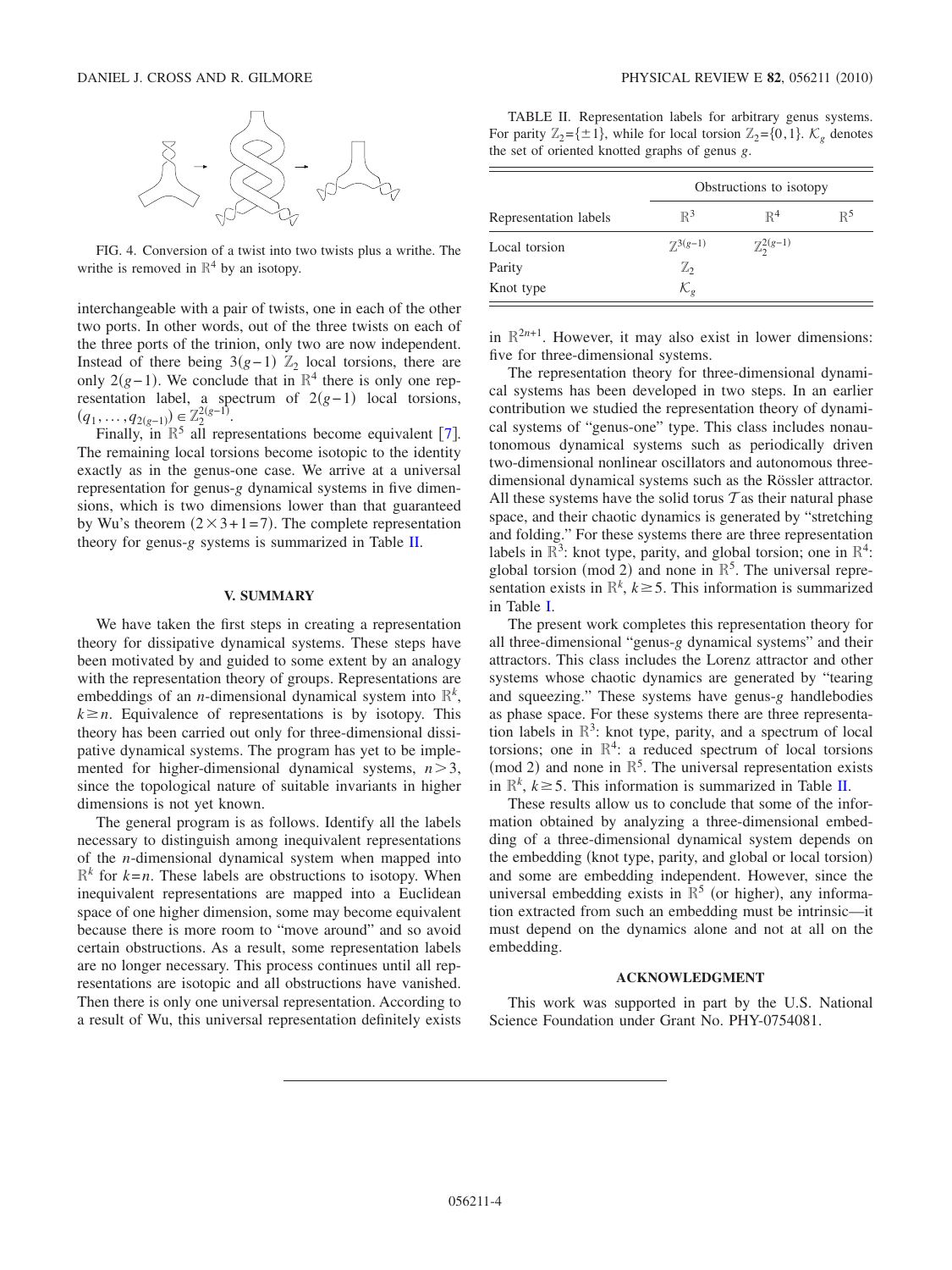<span id="page-4-2"></span>

FIG. 4. Conversion of a twist into two twists plus a writhe. The writhe is removed in  $\mathbb{R}^4$  by an isotopy.

interchangeable with a pair of twists, one in each of the other two ports. In other words, out of the three twists on each of the three ports of the trinion, only two are now independent. Instead of there being  $3(g-1)$   $\mathbb{Z}_2$  local torsions, there are only 2 $(g-1)$ . We conclude that in R<sup>4</sup> there is only one representation label, a spectrum of  $2(g-1)$  local torsions,  $(q_1, \ldots, q_{2(g-1)}) \in \mathbb{Z}_2^{2(g-1)}.$ 

Finally, in  $\mathbb{R}^5$  all representations become equivalent [[7](#page-5-6)]. The remaining local torsions become isotopic to the identity exactly as in the genus-one case. We arrive at a universal representation for genus-*g* dynamical systems in five dimensions, which is two dimensions lower than that guaranteed by Wu's theorem  $(2 \times 3 + 1 = 7)$ . The complete representation theory for genus-*g* systems is summarized in Table [II.](#page-4-0)

#### **V. SUMMARY**

<span id="page-4-1"></span>We have taken the first steps in creating a representation theory for dissipative dynamical systems. These steps have been motivated by and guided to some extent by an analogy with the representation theory of groups. Representations are embeddings of an *n*-dimensional dynamical system into  $\mathbb{R}^k$ ,  $k \geq n$ . Equivalence of representations is by isotopy. This theory has been carried out only for three-dimensional dissipative dynamical systems. The program has yet to be implemented for higher-dimensional dynamical systems,  $n > 3$ , since the topological nature of suitable invariants in higher dimensions is not yet known.

The general program is as follows. Identify all the labels necessary to distinguish among inequivalent representations of the *n*-dimensional dynamical system when mapped into  $\mathbb{R}^k$  for  $k=n$ . These labels are obstructions to isotopy. When inequivalent representations are mapped into a Euclidean space of one higher dimension, some may become equivalent because there is more room to "move around" and so avoid certain obstructions. As a result, some representation labels are no longer necessary. This process continues until all representations are isotopic and all obstructions have vanished. Then there is only one universal representation. According to a result of Wu, this universal representation definitely exists

<span id="page-4-0"></span>TABLE II. Representation labels for arbitrary genus systems. For parity  $\mathbb{Z}_2 = \{\pm 1\}$ , while for local torsion  $\mathbb{Z}_2 = \{0,1\}$ .  $\mathcal{K}_o$  denotes the set of oriented knotted graphs of genus *g*.

|                       | Obstructions to isotopy |                         |                |
|-----------------------|-------------------------|-------------------------|----------------|
| Representation labels | $\mathbb{R}^3$          | $\mathbb{R}^4$          | $\mathbb{R}^5$ |
| Local torsion         | $7^{3(g-1)}$            | $\mathbb{Z}_2^{2(g-1)}$ |                |
| Parity                | $\mathbb{Z}_2$          |                         |                |
| Knot type             | $\mathcal{K}_g$         |                         |                |

in  $\mathbb{R}^{2n+1}$ . However, it may also exist in lower dimensions: five for three-dimensional systems.

The representation theory for three-dimensional dynamical systems has been developed in two steps. In an earlier contribution we studied the representation theory of dynamical systems of "genus-one" type. This class includes nonautonomous dynamical systems such as periodically driven two-dimensional nonlinear oscillators and autonomous threedimensional dynamical systems such as the Rössler attractor. All these systems have the solid torus  $\mathcal T$  as their natural phase space, and their chaotic dynamics is generated by "stretching and folding." For these systems there are three representation labels in  $\mathbb{R}^3$ : knot type, parity, and global torsion; one in  $\mathbb{R}^4$ : global torsion (mod 2) and none in  $\mathbb{R}^5$ . The universal representation exists in  $\mathbb{R}^k$ ,  $k \geq 5$ . This information is summarized in Table [I.](#page-2-2)

The present work completes this representation theory for all three-dimensional "genus-*g* dynamical systems" and their attractors. This class includes the Lorenz attractor and other systems whose chaotic dynamics are generated by "tearing and squeezing." These systems have genus-*g* handlebodies as phase space. For these systems there are three representation labels in  $\mathbb{R}^3$ : knot type, parity, and a spectrum of local torsions; one in  $\mathbb{R}^4$ : a reduced spectrum of local torsions (mod 2) and none in  $\mathbb{R}^5$ . The universal representation exists in  $\mathbb{R}^k$ ,  $k \ge 5$ . This information is summarized in Table [II.](#page-4-0)

These results allow us to conclude that some of the information obtained by analyzing a three-dimensional embedding of a three-dimensional dynamical system depends on the embedding (knot type, parity, and global or local torsion) and some are embedding independent. However, since the universal embedding exists in  $\mathbb{R}^5$  (or higher), any information extracted from such an embedding must be intrinsic—it must depend on the dynamics alone and not at all on the embedding.

#### **ACKNOWLEDGMENT**

This work was supported in part by the U.S. National Science Foundation under Grant No. PHY-0754081.